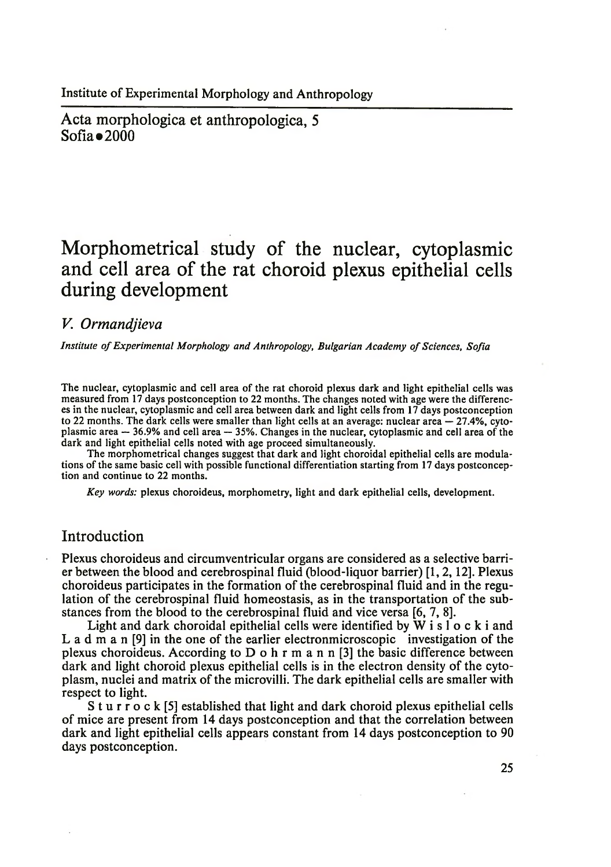Institute of Experimental Morphology and Anthropology

Acta morphologica et anthropologica, 5  $Sofia \bullet 2000$ 

# **Morphometrical study of the nuclear, cytoplasmic and cell area of the rat choroid plexus epithelial cells during development**

#### *V. Ormandjieva*

*Institute of Experimental Morphology and Anthropology, Bulgarian Academy of Sciences, Sofia* 

The nuclear, cytoplasmic and cell area of the rat choroid plexus dark and light epithelial cells was measured from 17 days postconception to 22 months. The changes noted with age were the differences in the nuclear, cytoplasmic and cell area between dark and light cells from 17 days postconception to 22 months. The dark cells were smaller than light cells at an average: nuclear area — 27.4%, cytoplasmic area — 36.9% and cell area — 35%. Changes in the nuclear, cytoplasmic and cell area of the dark and light epithelial cells noted with age proceed simultaneously.

The morphometrical changes suggest that dark and light choroidal epithelial cells are modulations of the same basic cell with possible functional differentiation starting from 17 days postconception and continue to 22 months.

*Key words:* plexus choroideus, morphometry, light and dark epithelial cells, development.

## Introduction

Plexus choroideus and circumventricular organs are considered as a selective barrier between the blood and cerebrospinal fluid (blood-liquor barrier) [1, 2,12]. Plexus choroideus participates in the formation of the cerebrospinal fluid and in the regulation of the cerebrospinal fluid homeostasis, as in the transportation of the substances from the blood to the cerebrospinal fluid and vice versa [6, 7, 8].

Light and dark choroidal epithelial cells were identified by  $W$  i s  $\overline{I}$  o c k i and L a d m a n [9] in the one of the earlier electronmicroscopic investigation of the plexus choroideus. According to D o h r m a n n [3] the basic difference between dark and light choroid plexus epithelial cells is in the electron density of the cytoplasm, nuclei and matrix of the microvilli. The dark epithelial cells are smaller with respect to light.

S t u r r o c k [5] established that light and dark choroid plexus epithelial cells of mice are present from 14 days postconception and that the correlation between dark and light epithelial cells appears constant from 14 days postconception to 90 days postconception.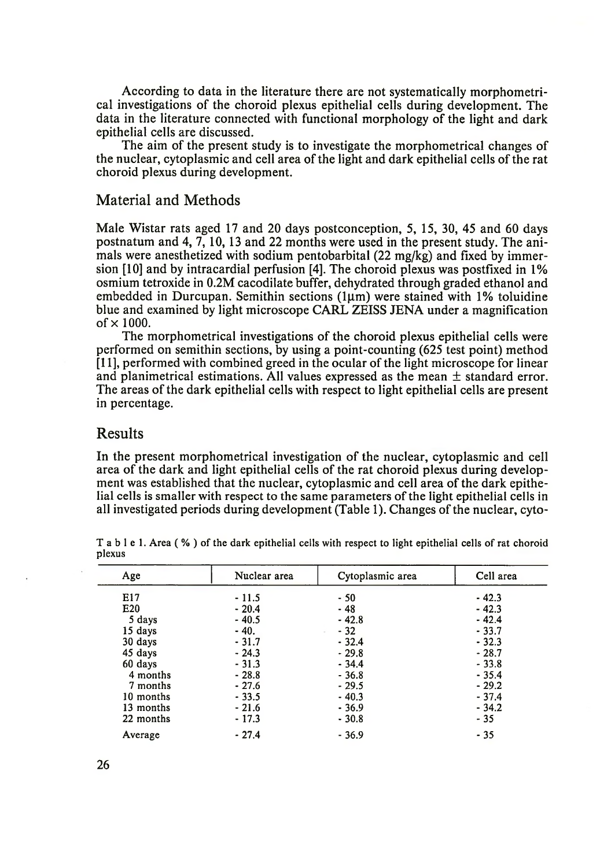According to data in the literature there are not systematically morphometrical investigations of the choroid plexus epithelial cells during development. The data in the literature connected with functional morphology of the light and dark epithelial cells are discussed.

The aim of the present study is to investigate the morphometrical changes of the nuclear, cytoplasmic and cell area of the light and dark epithelial cells of the rat choroid plexus during development.

### Material and Methods

Male Wistar rats aged 17 and 20 days postconception, 5, 15, 30, 45 and 60 days postnatum and 4, 7, 10,13 and 22 months were used in the present study. The animals were anesthetized with sodium pentobarbital (22 mg/kg) and fixed by immersion [10] and by intracardial perfusion [4]. The choroid plexus was postfixed in 1% osmium tetroxide in 0.2M cacodilate buffer, dehydrated through graded ethanol and embedded in Durcupan. Semithin sections  $(1\mu m)$  were stained with 1% toluidine blue and examined by light microscope CARL ZEISS JENA under a magnification of  $\times$  1000.

The morphometrical investigations of the choroid plexus epithelial cells were performed on semithin sections, by using a point-counting (625 test point) method [11], performed with combined greed in the ocular of the light microscope for linear and planimetrical estimations. All values expressed as the mean  $\pm$  standard error. The areas of the dark epithelial cells with respect to light epithelial cells are present in percentage.

#### Results

In the present morphometrical investigation of the nuclear, cytoplasmic and cell area of the dark and light epithelial cells of the rat choroid plexus during development was established that the nuclear, cytoplasmic and cell area of the dark epithelial cells is smaller with respect to the same parameters of the light epithelial cells in all investigated periods during development (Table 1). Changes of the nuclear, cyto-

| Age       | Nuclear area | Cytoplasmic area | Cell area |
|-----------|--------------|------------------|-----------|
| E17       | $-11.5$      | $-50$            | $-42.3$   |
| E20       | $-20.4$      | - 48             | $-42.3$   |
| 5 days    | $-40.5$      | $-42.8$          | $-42.4$   |
| 15 days   | $-40.$       | $-32$            | $-33.7$   |
| 30 days   | $-31.7$      | $-32.4$          | $-32.3$   |
| 45 days   | $-24.3$      | $-29.8$          | $-28.7$   |
| 60 days   | $-31.3$      | $-34.4$          | $-33.8$   |
| 4 months  | $-28.8$      | $-36.8$          | $-35.4$   |
| 7 months  | $-27.6$      | $-29.5$          | $-29.2$   |
| 10 months | $-33.5$      | $-40.3$          | $-37.4$   |
| 13 months | $-21.6$      | $-36.9$          | $-34.2$   |
| 22 months | $-17.3$      | $-30.8$          | $-35$     |
| Average   | $-27.4$      | $-36.9$          | $-35$     |

T a b l e 1. Area (%) of the dark epithelial cells with respect to light epithelial cells of rat choroid plexus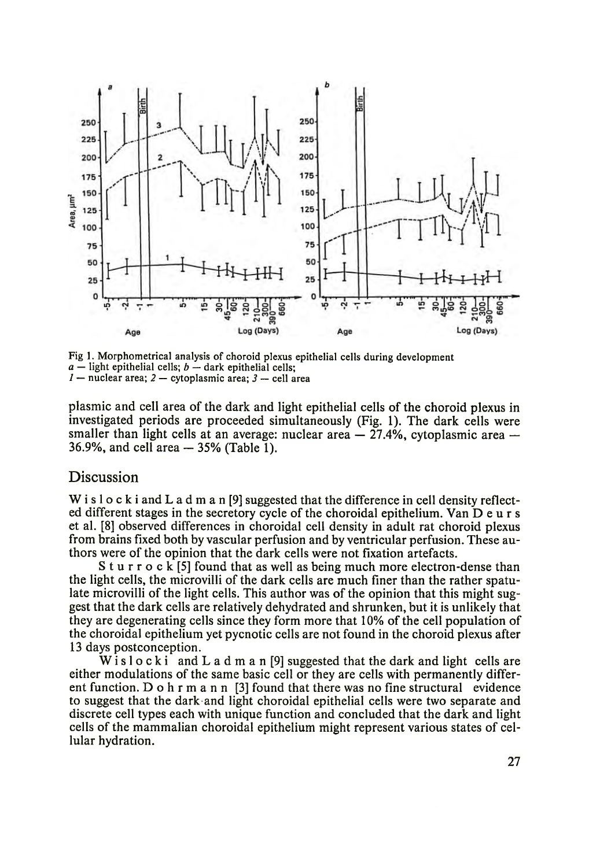

Fig 1. Morphometrical analysis of choroid plexus epithelial cells during development  $a$  — light epithelial cells;  $b$  — dark epithelial cells; *1* — nuclear area; *2 —* cytoplasmic area; *3 —* cell area

plasmic and cell area of the dark and light epithelial cells of the choroid plexus in investigated periods are proceeded simultaneously (Fig. 1). The dark cells were smaller than light cells at an average: nuclear area  $-27.4\%$ , cytoplasmic area  $-$ 36.9%, and cell area — 35% (Table 1).

#### Discussion

W i s l o c k i and L a d m a n [9] suggested that the difference in cell density reflected different stages in the secretory cycle of the choroidal epithelium. Van D e u r s et al. [8] observed differences in choroidal cell density in adult rat choroid plexus from brains fixed both by vascular perfusion and by ventricular perfusion. These authors were of the opinion that the dark cells were not fixation artefacts.

S t u r r o c k [5] found that as well as being much more electron-dense than the light cells, the microvilli of the dark cells are much finer than the rather spatulate microvilli of the light cells. This author was of the opinion that this might suggest that the dark cells are relatively dehydrated and shrunken, but it is unlikely that they are degenerating cells since they form more that 10% of the cell population of the choroidal epithelium yet pycnotic cells are not found in the choroid plexus after 13 days postconception.

W is lock i and L a d m a n [9] suggested that the dark and light cells are either modulations of the same basic cell or they are cells with permanently different function. D o h r m a n n [3] found that there was no fine structural evidence to suggest that the dark and light choroidal epithelial cells were two separate and discrete cell types each with unique function and concluded that the dark and light cells of the mammalian choroidal epithelium might represent various states of cellular hydration.